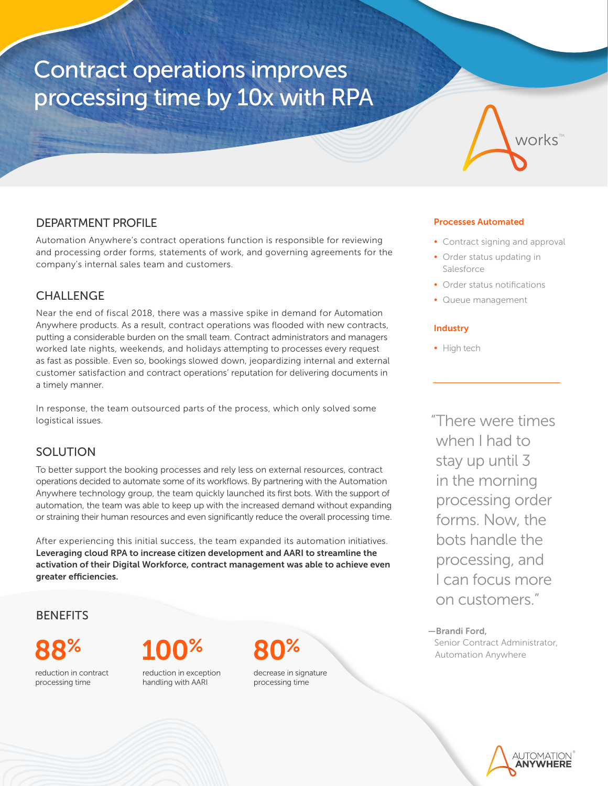# Contract operations improves processing time by 10x with RPA



## DEPARTMENT PROFILE

Automation Anywhere's contract operations function is responsible for reviewing and processing order forms, statements of work, and governing agreements for the company's internal sales team and customers.

## CHALLENGE

Near the end of fiscal 2018, there was a massive spike in demand for Automation Anywhere products. As a result, contract operations was flooded with new contracts, putting a considerable burden on the small team. Contract administrators and managers worked late nights, weekends, and holidays attempting to processes every request as fast as possible. Even so, bookings slowed down, jeopardizing internal and external customer satisfaction and contract operations' reputation for delivering documents in a timely manner.

In response, the team outsourced parts of the process, which only solved some logistical issues.

## **SOLUTION**

To better support the booking processes and rely less on external resources, contract operations decided to automate some of its workflows. By partnering with the Automation Anywhere technology group, the team quickly launched its first bots. With the support of automation, the team was able to keep up with the increased demand without expanding or straining their human resources and even significantly reduce the overall processing time.

After experiencing this initial success, the team expanded its automation initiatives. Leveraging cloud RPA to increase citizen development and AARI to streamline the activation of their Digital Workforce, contract management was able to achieve even greater efficiencies.

**BENEFITS** 

reduction in contract processing time



reduction in exception handling with AARI



decrease in signature processing time

### Processes Automated

- Contract signing and approval
- Order status updating in Salesforce
- Order status notifications
- Queue management

#### **Industry**

• High tech

"There were times when I had to stay up until 3 in the morning processing order forms. Now, the bots handle the processing, and I can focus more on customers."

—Brandi Ford, Senior Contract Administrator, Automation Anywhere